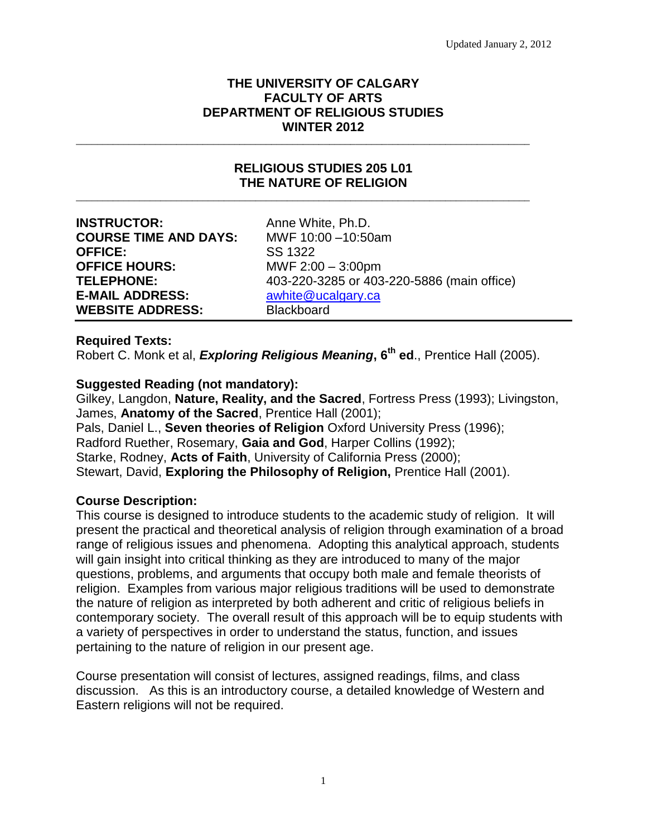# **THE UNIVERSITY OF CALGARY FACULTY OF ARTS DEPARTMENT OF RELIGIOUS STUDIES WINTER 2012**

\_\_\_\_\_\_\_\_\_\_\_\_\_\_\_\_\_\_\_\_\_\_\_\_\_\_\_\_\_\_\_\_\_\_\_\_\_\_\_\_\_\_\_\_\_\_\_\_\_\_\_\_\_\_\_\_\_\_\_\_\_\_\_\_\_\_\_\_\_\_\_\_\_\_\_\_\_\_\_\_\_\_\_\_\_\_

### **RELIGIOUS STUDIES 205 L01 THE NATURE OF RELIGION** \_\_\_\_\_\_\_\_\_\_\_\_\_\_\_\_\_\_\_\_\_\_\_\_\_\_\_\_\_\_\_\_\_\_\_\_\_\_\_\_\_\_\_\_\_\_\_\_\_\_\_\_\_\_\_\_\_\_\_\_\_\_\_\_\_\_\_\_\_\_\_\_\_\_\_\_\_\_\_\_\_\_\_\_\_\_

**INSTRUCTOR:** Anne White, Ph.D. **COURSE TIME AND DAYS:** MWF 10:00 –10:50am **OFFICE:** SS 1322 **OFFICE HOURS:** MWF 2:00 – 3:00pm **E-MAIL ADDRESS:** [awhite@ucalgary.ca](mailto:awhite@ucalgary.ca) **WEBSITE ADDRESS:** Blackboard

**TELEPHONE:** 403-220-3285 or 403-220-5886 (main office)

# **Required Texts:**

Robert C. Monk et al, *Exploring Religious Meaning***, 6th ed**., Prentice Hall (2005).

# **Suggested Reading (not mandatory):**

Gilkey, Langdon, **Nature, Reality, and the Sacred**, Fortress Press (1993); Livingston, James, **Anatomy of the Sacred**, Prentice Hall (2001); Pals, Daniel L., **Seven theories of Religion** Oxford University Press (1996); Radford Ruether, Rosemary, **Gaia and God**, Harper Collins (1992); Starke, Rodney, **Acts of Faith**, University of California Press (2000); Stewart, David, **Exploring the Philosophy of Religion,** Prentice Hall (2001).

# **Course Description:**

This course is designed to introduce students to the academic study of religion. It will present the practical and theoretical analysis of religion through examination of a broad range of religious issues and phenomena. Adopting this analytical approach, students will gain insight into critical thinking as they are introduced to many of the major questions, problems, and arguments that occupy both male and female theorists of religion. Examples from various major religious traditions will be used to demonstrate the nature of religion as interpreted by both adherent and critic of religious beliefs in contemporary society. The overall result of this approach will be to equip students with a variety of perspectives in order to understand the status, function, and issues pertaining to the nature of religion in our present age.

Course presentation will consist of lectures, assigned readings, films, and class discussion. As this is an introductory course, a detailed knowledge of Western and Eastern religions will not be required.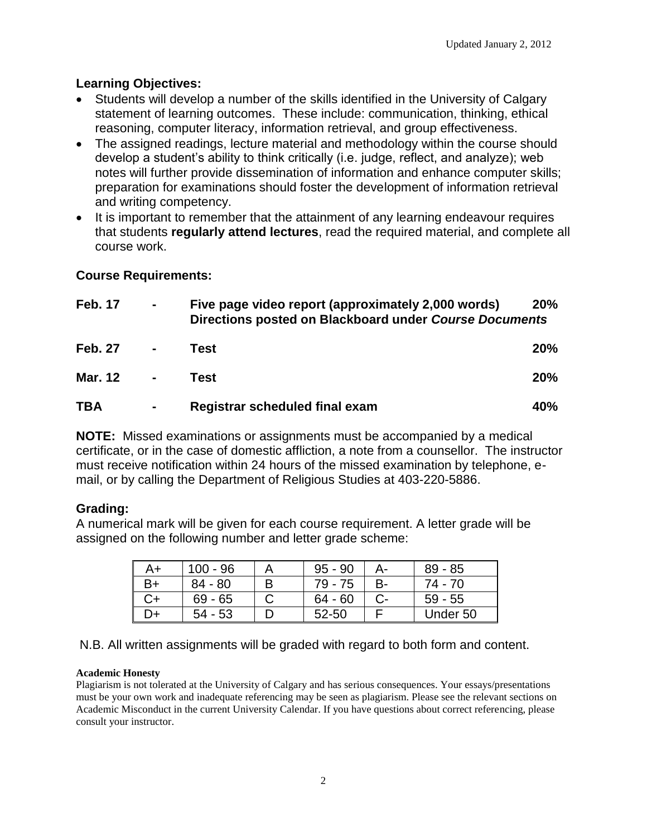# **Learning Objectives:**

- Students will develop a number of the skills identified in the University of Calgary statement of learning outcomes. These include: communication, thinking, ethical reasoning, computer literacy, information retrieval, and group effectiveness.
- The assigned readings, lecture material and methodology within the course should develop a student"s ability to think critically (i.e. judge, reflect, and analyze); web notes will further provide dissemination of information and enhance computer skills; preparation for examinations should foster the development of information retrieval and writing competency.
- It is important to remember that the attainment of any learning endeavour requires that students **regularly attend lectures**, read the required material, and complete all course work.

# **Course Requirements:**

| <b>Feb. 17</b> | $\blacksquare$ | Five page video report (approximately 2,000 words)<br>Directions posted on Blackboard under Course Documents | <b>20%</b> |
|----------------|----------------|--------------------------------------------------------------------------------------------------------------|------------|
| <b>Feb. 27</b> | $\blacksquare$ | Test                                                                                                         | <b>20%</b> |
| Mar. 12 -      |                | Test                                                                                                         | <b>20%</b> |
| <b>TBA</b>     | ٠              | Registrar scheduled final exam                                                                               | 40%        |

**NOTE:** Missed examinations or assignments must be accompanied by a medical certificate, or in the case of domestic affliction, a note from a counsellor. The instructor must receive notification within 24 hours of the missed examination by telephone, email, or by calling the Department of Religious Studies at 403-220-5886.

# **Grading:**

A numerical mark will be given for each course requirement. A letter grade will be assigned on the following number and letter grade scheme:

| A+ | $100 - 96$ |   | 95 - 90   | А-        | $89 - 85$ |
|----|------------|---|-----------|-----------|-----------|
| 3+ | $84 - 80$  | B | 79 - 75   | <b>B-</b> | 74 - 70   |
|    | $69 - 65$  |   | $64 - 60$ |           | $59 - 55$ |
| )+ | $54 - 53$  |   | 52-50     |           | Under 50  |

# N.B. All written assignments will be graded with regard to both form and content.

### **Academic Honesty**

Plagiarism is not tolerated at the University of Calgary and has serious consequences. Your essays/presentations must be your own work and inadequate referencing may be seen as plagiarism. Please see the relevant sections on Academic Misconduct in the current University Calendar. If you have questions about correct referencing, please consult your instructor.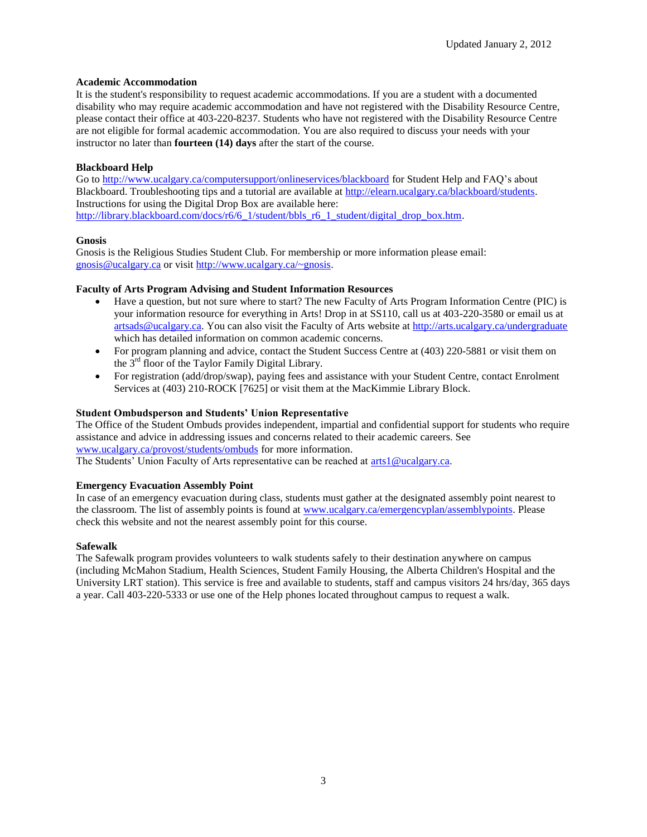### **Academic Accommodation**

It is the student's responsibility to request academic accommodations. If you are a student with a documented disability who may require academic accommodation and have not registered with the Disability Resource Centre, please contact their office at 403-220-8237. Students who have not registered with the Disability Resource Centre are not eligible for formal academic accommodation. You are also required to discuss your needs with your instructor no later than **fourteen (14) days** after the start of the course.

### **Blackboard Help**

Go to<http://www.ucalgary.ca/computersupport/onlineservices/blackboard> for Student Help and FAQ's about Blackboard. Troubleshooting tips and a tutorial are available at [http://elearn.ucalgary.ca/blackboard/students.](http://elearn.ucalgary.ca/blackboard/students)  Instructions for using the Digital Drop Box are available here: [http://library.blackboard.com/docs/r6/6\\_1/student/bbls\\_r6\\_1\\_student/digital\\_drop\\_box.htm.](http://library.blackboard.com/docs/r6/6_1/student/bbls_r6_1_student/digital_drop_box.htm)

### **Gnosis**

Gnosis is the Religious Studies Student Club. For membership or more information please email: gnosis@ucalgary.ca or visit [http://www.ucalgary.ca/~gnosis.](http://www.ucalgary.ca/~gnosis)

### **Faculty of Arts Program Advising and Student Information Resources**

- Have a question, but not sure where to start? The new Faculty of Arts Program Information Centre (PIC) is your information resource for everything in Arts! Drop in at SS110, call us at 403-220-3580 or email us at [artsads@ucalgary.ca.](mailto:artsads@ucalgary.ca) You can also visit the Faculty of Arts website a[t http://arts.ucalgary.ca/undergraduate](http://arts.ucalgary.ca/undergraduate) which has detailed information on common academic concerns.
- For program planning and advice, contact the Student Success Centre at (403) 220-5881 or visit them on the  $3<sup>rd</sup>$  floor of the Taylor Family Digital Library.
- For registration (add/drop/swap), paying fees and assistance with your Student Centre, contact Enrolment Services at (403) 210-ROCK [7625] or visit them at the MacKimmie Library Block.

### **Student Ombudsperson and Students' Union Representative**

The Office of the Student Ombuds provides independent, impartial and confidential support for students who require assistance and advice in addressing issues and concerns related to their academic careers. See [www.ucalgary.ca/provost/students/ombuds](http://www.ucalgary.ca/provost/students/ombuds) for more information.

The Students' Union Faculty of Arts representative can be reached at [arts1@ucalgary.ca.](mailto:arts1@ucalgary.ca)

#### **Emergency Evacuation Assembly Point**

In case of an emergency evacuation during class, students must gather at the designated assembly point nearest to the classroom. The list of assembly points is found at [www.ucalgary.ca/emergencyplan/assemblypoints.](http://www.ucalgary.ca/emergencyplan/assemblypoints) Please check this website and not the nearest assembly point for this course.

#### **Safewalk**

The Safewalk program provides volunteers to walk students safely to their destination anywhere on campus (including McMahon Stadium, Health Sciences, Student Family Housing, the Alberta Children's Hospital and the University LRT station). This service is free and available to students, staff and campus visitors 24 hrs/day, 365 days a year. Call 403-220-5333 or use one of the Help phones located throughout campus to request a walk.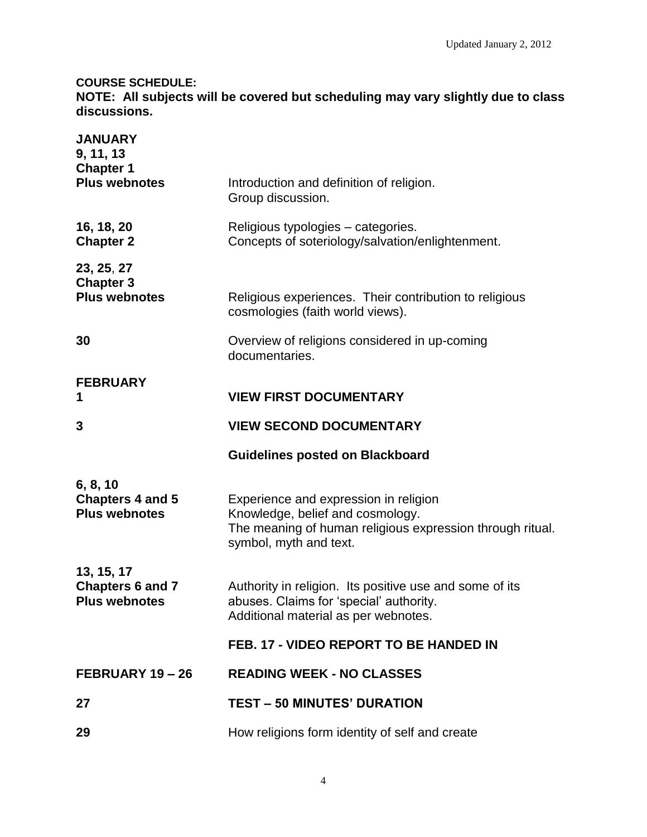# **COURSE SCHEDULE:**

**NOTE: All subjects will be covered but scheduling may vary slightly due to class discussions.**

| <b>JANUARY</b><br>9, 11, 13<br><b>Chapter 1</b><br><b>Plus webnotes</b> | Introduction and definition of religion.<br>Group discussion.                                                                                                    |
|-------------------------------------------------------------------------|------------------------------------------------------------------------------------------------------------------------------------------------------------------|
| 16, 18, 20<br><b>Chapter 2</b>                                          | Religious typologies – categories.<br>Concepts of soteriology/salvation/enlightenment.                                                                           |
| 23, 25, 27<br><b>Chapter 3</b><br><b>Plus webnotes</b>                  | Religious experiences. Their contribution to religious<br>cosmologies (faith world views).                                                                       |
| 30                                                                      | Overview of religions considered in up-coming<br>documentaries.                                                                                                  |
| <b>FEBRUARY</b><br>1                                                    | <b>VIEW FIRST DOCUMENTARY</b>                                                                                                                                    |
| 3                                                                       | <b>VIEW SECOND DOCUMENTARY</b>                                                                                                                                   |
|                                                                         |                                                                                                                                                                  |
|                                                                         | <b>Guidelines posted on Blackboard</b>                                                                                                                           |
| 6, 8, 10<br><b>Chapters 4 and 5</b><br><b>Plus webnotes</b>             | Experience and expression in religion<br>Knowledge, belief and cosmology.<br>The meaning of human religious expression through ritual.<br>symbol, myth and text. |
| 13, 15, 17<br><b>Chapters 6 and 7</b><br><b>Plus webnotes</b>           | Authority in religion. Its positive use and some of its<br>abuses. Claims for 'special' authority.<br>Additional material as per webnotes.                       |
|                                                                         | FEB. 17 - VIDEO REPORT TO BE HANDED IN                                                                                                                           |
| FEBRUARY 19-26                                                          | <b>READING WEEK - NO CLASSES</b>                                                                                                                                 |
| 27                                                                      | <b>TEST - 50 MINUTES' DURATION</b>                                                                                                                               |